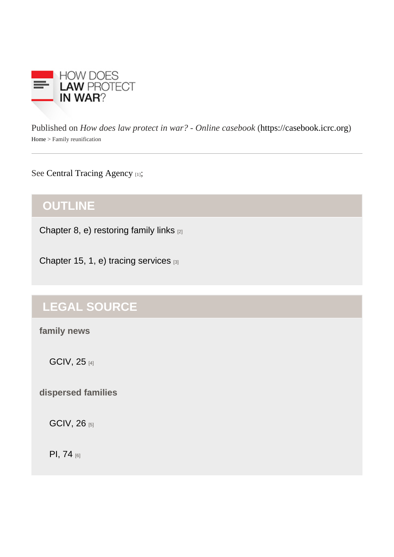Published on How does law protect in war? - Online caseb[ook](https://casebook.icrc.org) these increases (/casebook.icrc.org) Home> Family reunification

#### Se[e Central Tracing Agenc](https://casebook.icrc.org/glossary/central-tracing-agency)y;

# **OUTLINE**

[Chapter 8, e\) restoring family links](https://casebook.icrc.org/law/civilian-population#ii_2_e) [2]

[Chapter 15, 1, e\) tracing services](https://casebook.icrc.org/law/icrc#ii_1_e) [3]

# LEGAL SOURCE

family news

[GCIV, 25](https://www.icrc.org/applic/ihl/ihl.nsf/Article.xsp?action=openDocument&documentId=B9EE61F21C359FAAC12563CD0051BBAE) [4]

dispersed families

[GCIV, 26](https://www.icrc.org/applic/ihl/ihl.nsf/ART/380-600030?OpenDocument) [5]

[PI, 74](https://www.icrc.org/applic/ihl/ihl.nsf/Article.xsp?action=openDocument&documentId=FA05E6C8DC155D80C12563CD0051E016) [6]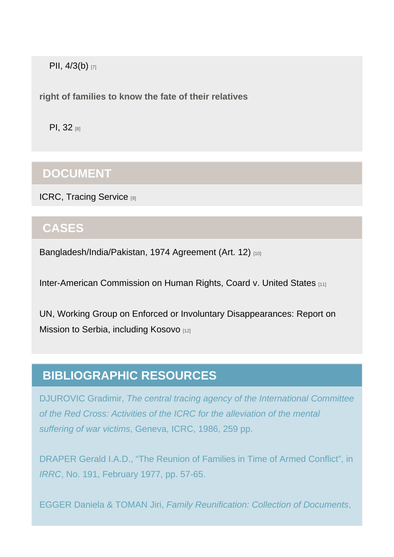[PII, 4/3\(b\)](https://www.icrc.org/applic/ihl/ihl.nsf/Article.xsp?action=openDocument&documentId=F9CBD575D47CA6C8C12563CD0051E783) [7]

right of families to know the fate of their relatives

[PI, 32](https://www.icrc.org/applic/ihl/ihl.nsf/Article.xsp?action=openDocument&documentId=3B2AD184335950CAC12563CD0051DA38) [8]

## DOCUMENT

[ICRC, Tracing Service](https://casebook.icrc.org/case-study/icrc-tracing-service) [9]

## **CASES**

[Bangladesh/India/Pakistan, 1974 Agreement \(Art. 12\)](https://casebook.icrc.org/case-study/bangladeshindiapakistan-1974-agreement#art_12) [10]

[Inter-American Commission on Human Rights, Coard v. United States](https://casebook.icrc.org/case-study/inter-american-commission-human-rights-coard-v-united-states) [11]

[UN, Working Group on Enforced or Involuntary Disappearances: Report on](https://casebook.icrc.org/case-study/un-working-group-enforced-or-involuntary-disappearances-report-mission-serbia-including)  [Mission to Serbia, including Kosovo](https://casebook.icrc.org/case-study/un-working-group-enforced-or-involuntary-disappearances-report-mission-serbia-including) [12]

# BIBLIOGRAPHIC RESOURCES